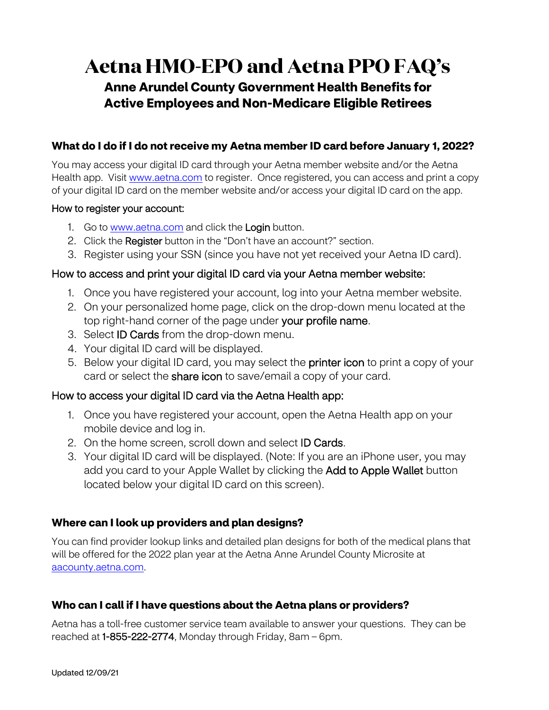# **Aetna HMO-EPO and Aetna PPO FAQ's**

## **Anne Arundel County Government Health Benefits for Active Employees and Non-Medicare Eligible Retirees**

## **What do I do if I do not receive my Aetna member ID card before January 1, 2022?**

You may access your digital ID card through your Aetna member website and/or the Aetna Health app. Visit [www.aetna.com](http://www.aetna.com/) to register. Once registered, you can access and print a copy of your digital ID card on the member website and/or access your digital ID card on the app.

#### How to register your account:

- 1. Go to [www.aetna.com](http://www.aetna.com/) and click the Login button.
- 2. Click the Register button in the "Don't have an account?" section.
- 3. Register using your SSN (since you have not yet received your Aetna ID card).

## How to access and print your digital ID card via your Aetna member website:

- 1. Once you have registered your account, log into your Aetna member website.
- top right-hand corner of the page under **your profile name**. 2. On your personalized home page, click on the drop-down menu located at the
- 3. Select **ID Cards** from the drop-down menu.
- 4. Your digital ID card will be displayed.
- 5. Below your digital ID card, you may select the **printer icon** to print a copy of your card or select the **share icon** to save/email a copy of your card.

## How to access your digital ID card via the Aetna Health app:

- 1. Once you have registered your account, open the Aetna Health app on your mobile device and log in.
- 2. On the home screen, scroll down and select **ID Cards**.
- add you card to your Apple Wallet by clicking the **Add to Apple Wallet** button 3. Your digital ID card will be displayed. (Note: If you are an iPhone user, you may located below your digital ID card on this screen).

## **Where can I look up providers and plan designs?**

You can find provider lookup links and detailed plan designs for both of the medical plans that will be offered for the 2022 plan year at the Aetna Anne Arundel County Microsite at [aacounty.aetna.com.](http://aacounty.aetna.com)

## **Who can I call if I have questions about the Aetna plans or providers?**

Aetna has a toll-free customer service team available to answer your questions. They can be reached at 1-855-222-2774, Monday through Friday, 8am – 6pm.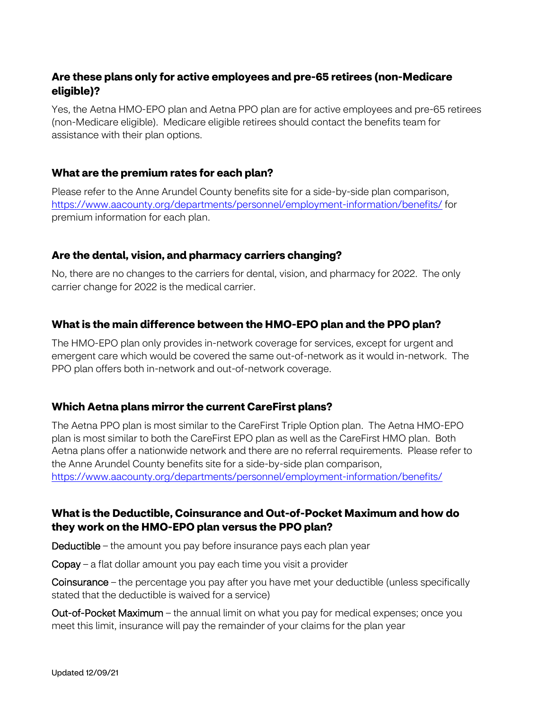## **Are these plans only for active employees and pre-65 retirees (non-Medicare eligible)?**

 Yes, the Aetna HMO-EPO plan and Aetna PPO plan are for active employees and pre-65 retirees (non-Medicare eligible). Medicare eligible retirees should contact the benefits team for assistance with their plan options.

#### **What are the premium rates for each plan?**

Please refer to the Anne Arundel County benefits site for a side-by-side plan comparison, <https://www.aacounty.org/departments/personnel/employment-information/benefits/>for premium information for each plan.

## **Are the dental, vision, and pharmacy carriers changing?**

 No, there are no changes to the carriers for dental, vision, and pharmacy for 2022. The only carrier change for 2022 is the medical carrier.

## **What is the main difference between the HMO-EPO plan and the PPO plan?**

 emergent care which would be covered the same out-of-network as it would in-network. The The HMO-EPO plan only provides in-network coverage for services, except for urgent and PPO plan offers both in-network and out-of-network coverage.

#### **Which Aetna plans mirror the current CareFirst plans?**

The Aetna PPO plan is most similar to the CareFirst Triple Option plan. The Aetna HMO-EPO plan is most similar to both the CareFirst EPO plan as well as the CareFirst HMO plan. Both Aetna plans offer a nationwide network and there are no referral requirements. Please refer to the Anne Arundel County benefits site for a side-by-side plan comparison, <https://www.aacounty.org/departments/personnel/employment-information/benefits/>

## **What is the Deductible, Coinsurance and Out-of-Pocket Maximum and how do they work on the HMO-EPO plan versus the PPO plan?**

Deductible – the amount you pay before insurance pays each plan year

Copay – a flat dollar amount you pay each time you visit a provider

Coinsurance – the percentage you pay after you have met your deductible (unless specifically stated that the deductible is waived for a service)

 meet this limit, insurance will pay the remainder of your claims for the plan year Out-of-Pocket Maximum – the annual limit on what you pay for medical expenses; once you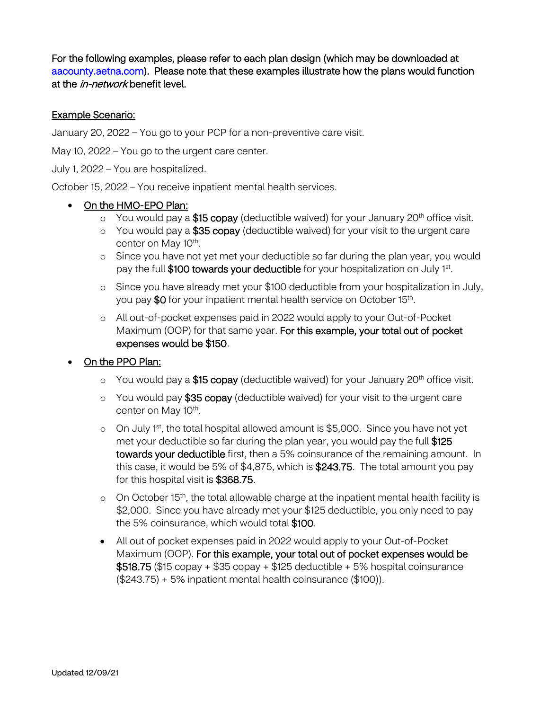For the following examples, please refer to each plan design (which may be downloaded at [aacounty.aetna.com\).](http://aacounty.aetna.com) Please note that these examples illustrate how the plans would function at the *in-network* benefit level.

#### Example Scenario:

January 20, 2022 – You go to your PCP for a non-preventive care visit.

May 10, 2022 – You go to the urgent care center.

July 1, 2022 – You are hospitalized.

October 15, 2022 – You receive inpatient mental health services.

#### • On the HMO-EPO Plan:

- $\circ$  You would pay a \$15 copay (deductible waived) for your January 20<sup>th</sup> office visit.
- $\circ$  You would pay a \$35 copay (deductible waived) for your visit to the urgent care center on May 10<sup>th</sup>.
- o Since you have not yet met your deductible so far during the plan year, you would pay the full \$100 towards your deductible for your hospitalization on July 1st.
- o Since you have already met your \$100 deductible from your hospitalization in July, you pay \$0 for your inpatient mental health service on October 15<sup>th</sup>.
- o All out-of-pocket expenses paid in 2022 would apply to your Out-of-Pocket Maximum (OOP) for that same year. For this example, your total out of pocket expenses would be \$150.

#### On the PPO Plan:

- $\circ$  You would pay a \$15 copay (deductible waived) for your January 20<sup>th</sup> office visit.
- o You would pay \$35 copay (deductible waived) for your visit to the urgent care center on May 10<sup>th</sup>.
- o On July 1<sup>st</sup>, the total hospital allowed amount is \$5,000. Since you have not yet met your deductible so far during the plan year, you would pay the full \$125 towards your deductible first, then a 5% coinsurance of the remaining amount. In this case, it would be 5% of \$4,875, which is \$243.75. The total amount you pay for this hospital visit is \$368.75.
- o On October 15<sup>th</sup>, the total allowable charge at the inpatient mental health facility is \$2,000. Since you have already met your \$125 deductible, you only need to pay the 5% coinsurance, which would total \$100.
- All out of pocket expenses paid in 2022 would apply to your Out-of-Pocket Maximum (OOP). For this example, your total out of pocket expenses would be  $$518.75$  (\$15 copay + \$35 copay + \$125 deductible + 5% hospital coinsurance (\$243.75) + 5% inpatient mental health coinsurance (\$100)).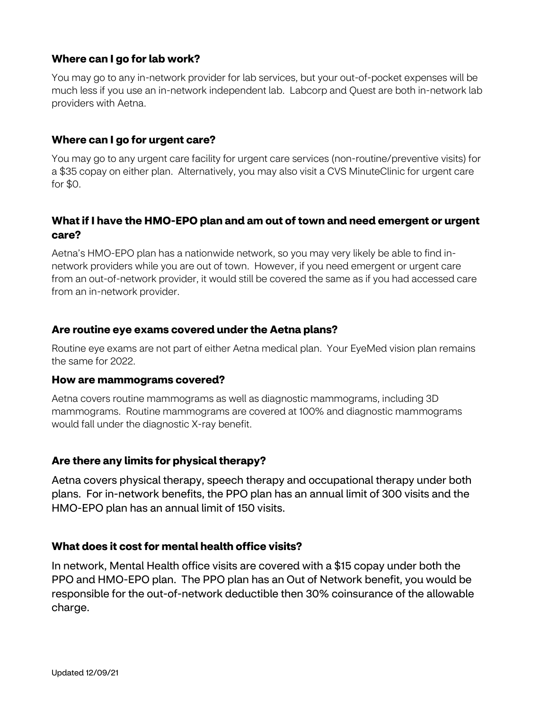## **Where can I go for lab work?**

 much less if you use an in-network independent lab. Labcorp and Quest are both in-network lab providers with Aetna. You may go to any in-network provider for lab services, but your out-of-pocket expenses will be

#### **Where can I go for urgent care?**

You may go to any urgent care facility for urgent care services (non-routine/preventive visits) for a \$35 copay on either plan. Alternatively, you may also visit a CVS MinuteClinic for urgent care for \$0.

## **What if I have the HMO-EPO plan and am out of town and need emergent or urgent care?**

 Aetna's HMO-EPO plan has a nationwide network, so you may very likely be able to find in- network providers while you are out of town. However, if you need emergent or urgent care from an out-of-network provider, it would still be covered the same as if you had accessed care from an in-network provider.

#### **Are routine eye exams covered under the Aetna plans?**

 Routine eye exams are not part of either Aetna medical plan. Your EyeMed vision plan remains the same for 2022.

#### **How are mammograms covered?**

 would fall under the diagnostic X-ray benefit. Aetna covers routine mammograms as well as diagnostic mammograms, including 3D mammograms. Routine mammograms are covered at 100% and diagnostic mammograms

## **Are there any limits for physical therapy?**

 plans. For in-network benefits, the PPO plan has an annual limit of 300 visits and the Aetna covers physical therapy, speech therapy and occupational therapy under both HMO-EPO plan has an annual limit of 150 visits.

## **What does it cost for mental health office visits?**

 PPO and HMO-EPO plan. The PPO plan has an Out of Network benefit, you would be In network, Mental Health office visits are covered with a \$15 copay under both the responsible for the out-of-network deductible then 30% coinsurance of the allowable charge.